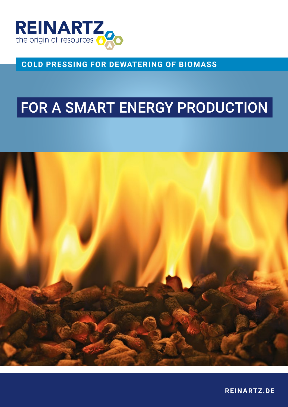

**COLD PRESSING FOR DEWATERING OF BIOMASS**

## FOR A SMART ENERGY PRODUCTION



**REINARTZ.DE**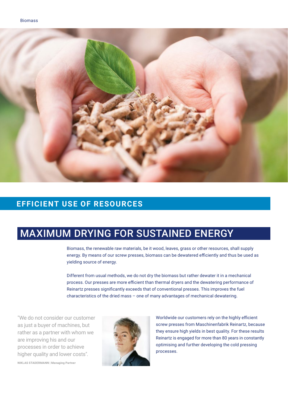

#### **EFFICIENT USE OF RESOURCES**

## MAXIMUM DRYING FOR SUSTAINED ENERGY

Biomass, the renewable raw materials, be it wood, leaves, grass or other resources, shall supply energy. By means of our screw presses, biomass can be dewatered efficiently and thus be used as yielding source of energy.

Different from usual methods, we do not dry the biomass but rather dewater it in a mechanical process. Our presses are more efficient than thermal dryers and the dewatering performance of Reinartz presses significantly exceeds that of conventional presses. This improves the fuel characteristics of the dried mass – one of many advantages of mechanical dewatering.

″We do not consider our customer as just a buyer of machines, but rather as a partner with whom we are improving his and our processes in order to achieve higher quality and lower costs″.



Worldwide our customers rely on the highly efficient screw presses from Maschinenfabrik Reinartz, because they ensure high yields in best quality. For these results Reinartz is engaged for more than 80 years in constantly optimising and further developing the cold pressing processes.

**NIKLAS STADERMANN | Managing Partner**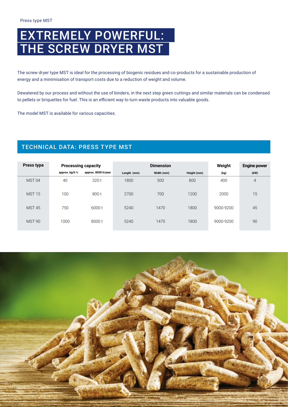## EXTREMELY POWERFUL: THE SCREW DRYER MST

The screw dryer type MST is ideal for the processing of biogenic residues and co-products for a sustainable production of energy and a minimisation of transport costs due to a reduction of weight and volume.

Dewatered by our process and without the use of binders, in the next step green cuttings and similar materials can be condensed to pellets or briquettes for fuel. This is an efficient way to turn waste products into valuable goods.

The model MST is available for various capacities.

#### TECHNICAL DATA: PRESS TYPE MST

| <b>Press type</b> | <b>Processing capacity</b> |                     | <b>Dimension</b> |            |             | Weight    | <b>Engine power</b> |
|-------------------|----------------------------|---------------------|------------------|------------|-------------|-----------|---------------------|
|                   | approx. kg/h 1/2           | approx. 8000 h/year | Length (mm)      | Width (mm) | Height (mm) | (kg)      | (kW)                |
| MST <sub>04</sub> | 40                         | 320 t               | 1800             | 500        | 800         | 400       | $\overline{4}$      |
| <b>MST 15</b>     | 100                        | 800 t               | 2700             | 700        | 1200        | 2000      | 15                  |
| <b>MST 45</b>     | 750                        | 6000 t              | 5240             | 1470       | 1800        | 9000-9200 | 45                  |
| <b>MST 90</b>     | 1000                       | 8000 t              | 5240             | 1470       | 1800        | 9000-9200 | 90                  |

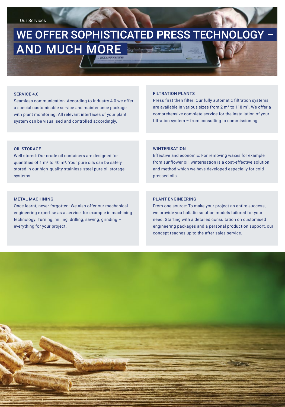## WE OFFER SOPHISTICATED PRESS TECHNOLOGY – AND MUCH MORE

#### SERVICE 4.0

Seamless communication: According to Industry 4.0 we offer a special customisable service and maintenance package with plant monitoring. All relevant interfaces of your plant system can be visualised and controlled accordingly.

#### FILTRATION PLANTS

Press first then filter: Our fully automatic filtration systems are available in various sizes from 2 m² to 118 m². We offer a comprehensive complete service for the installation of your filtration system – from consulting to commissioning.

#### OIL STORAGE

Well stored: Our crude oil containers are designed for quantities of 1  $m<sup>3</sup>$  to 40  $m<sup>3</sup>$ . Your pure oils can be safely stored in our high-quality stainless-steel pure oil storage systems.

#### **WINTERISATION**

Effective and economic: For removing waxes for example from sunflower oil, winterisation is a cost-effective solution and method which we have developed especially for cold pressed oils.

#### METAL MACHINING

Once learnt, never forgotten: We also offer our mechanical engineering expertise as a service, for example in machining technology. Turning, milling, drilling, sawing, grinding – everything for your project.

#### PLANT ENGINEERING

From one source: To make your project an entire success, we provide you holistic solution models tailored for your need. Starting with a detailed consultation on customised engineering packages and a personal production support, our concept reaches up to the after sales service.

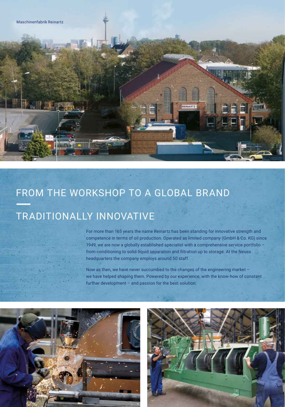# FROM THE WORKSHOP TO A GLOBAL BRAND

## TRADITIONALLY INNOVATIVE

For more than 165 years the name Reinartz has been standing for innovative strength and competence in terms of oil production. Operated as limited company (GmbH & Co. KG) since 1949, we are now a globally established specialist with a comprehensive service portfolio – from conditioning to solid-liquid separation and filtration up to storage. At the Neuss headquarters the company employs around 50 staff.

**FINARTZ** 

Now as then, we have never succumbed to the changes of the engineering market – we have helped shaping them. Powered by our experience, with the know-how of constant further development – and passion for the best solution.